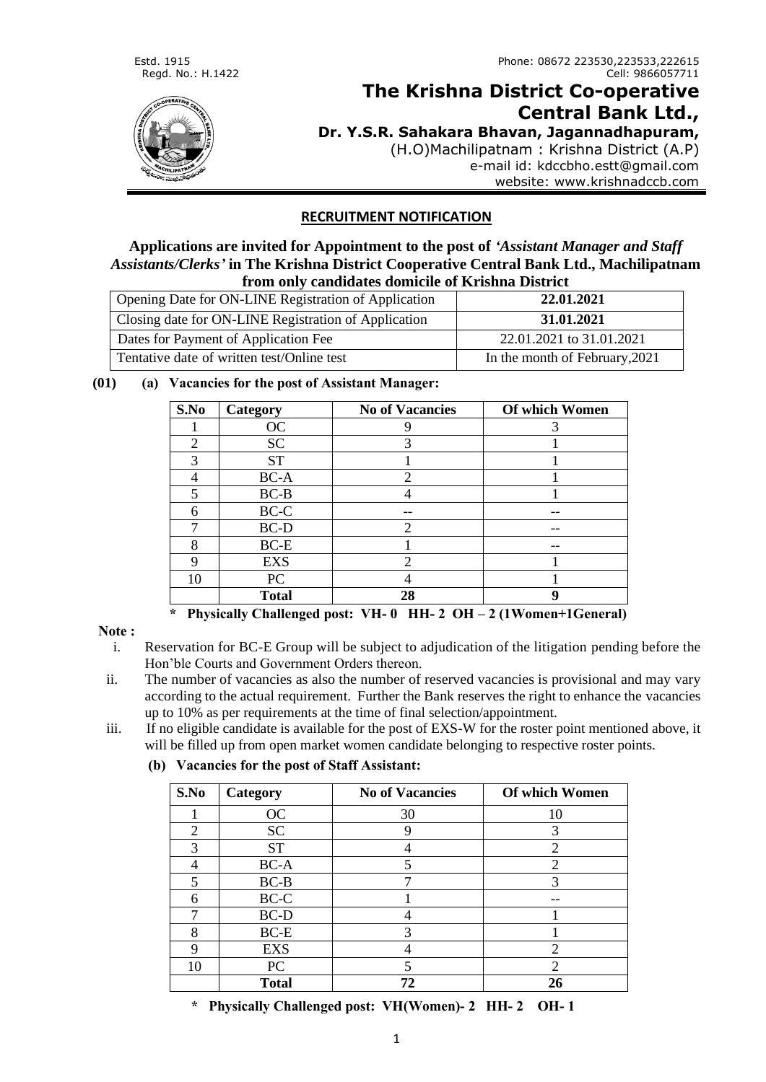

# **The Krishna District Co-operative Central Bank Ltd.,**

**Dr. Y.S.R. Sahakara Bhavan, Jagannadhapuram,**

(H.O)Machilipatnam : Krishna District (A.P) e-mail id: kdccbho.estt@gmail.com website: www.krishnadccb.com

## **RECRUITMENT NOTIFICATION**

**Applications are invited for Appointment to the post of** *'Assistant Manager and Staff Assistants/Clerks'* **in The Krishna District Cooperative Central Bank Ltd., Machilipatnam from only candidates domicile of Krishna District**

|                                                      | 11 VALL VALL I VULLULULUVU UUJALLULLU VA AALAVALLU AFAFUL LU |  |  |  |
|------------------------------------------------------|--------------------------------------------------------------|--|--|--|
| Opening Date for ON-LINE Registration of Application | 22.01.2021                                                   |  |  |  |
| Closing date for ON-LINE Registration of Application | 31.01.2021                                                   |  |  |  |
| Dates for Payment of Application Fee                 | 22.01.2021 to 31.01.2021                                     |  |  |  |
| Tentative date of written test/Online test           | In the month of February, 2021                               |  |  |  |

## **(01) (a) Vacancies for the post of Assistant Manager:**

| S.No           | Category     | <b>No of Vacancies</b> | Of which Women |
|----------------|--------------|------------------------|----------------|
|                | OC           |                        |                |
| $\mathfrak{D}$ | <b>SC</b>    | 3                      |                |
| 3              | <b>ST</b>    |                        |                |
|                | BC-A         |                        |                |
| 5              | $BC-B$       |                        |                |
| 6              | BC-C         |                        |                |
| ⇁              | BC-D         | ◠                      |                |
| 8              | $BC-E$       |                        |                |
|                | <b>EXS</b>   | ി                      |                |
| 10             | PC           |                        |                |
|                | <b>Total</b> | 28                     |                |

 **\* Physically Challenged post: VH- 0 HH- 2 OH – 2 (1Women+1General)**

## **Note :**

- i. Reservation for BC-E Group will be subject to adjudication of the litigation pending before the Hon'ble Courts and Government Orders thereon.
- ii. The number of vacancies as also the number of reserved vacancies is provisional and may vary according to the actual requirement. Further the Bank reserves the right to enhance the vacancies up to 10% as per requirements at the time of final selection/appointment.
- iii. If no eligible candidate is available for the post of EXS-W for the roster point mentioned above, it will be filled up from open market women candidate belonging to respective roster points.
	- **(b) Vacancies for the post of Staff Assistant:**

| S.No | Category     | <b>No of Vacancies</b> | Of which Women              |
|------|--------------|------------------------|-----------------------------|
|      | OC           | 30                     | 10                          |
| 2    | <b>SC</b>    |                        | 3                           |
| 3    | <b>ST</b>    |                        | っ                           |
|      | BC-A         |                        | ി                           |
| 5    | $BC-B$       |                        | 3                           |
| 6    | BC-C         |                        |                             |
|      | $BC-D$       |                        |                             |
| 8    | $BC-E$       | 3                      |                             |
| 9    | <b>EXS</b>   |                        | $\mathcal{D}_{\mathcal{L}}$ |
| 10   | PC           |                        | $\mathcal{D}_{\mathcal{L}}$ |
|      | <b>Total</b> | 72                     | 26                          |

 **\* Physically Challenged post: VH(Women)- 2 HH- 2 OH- 1**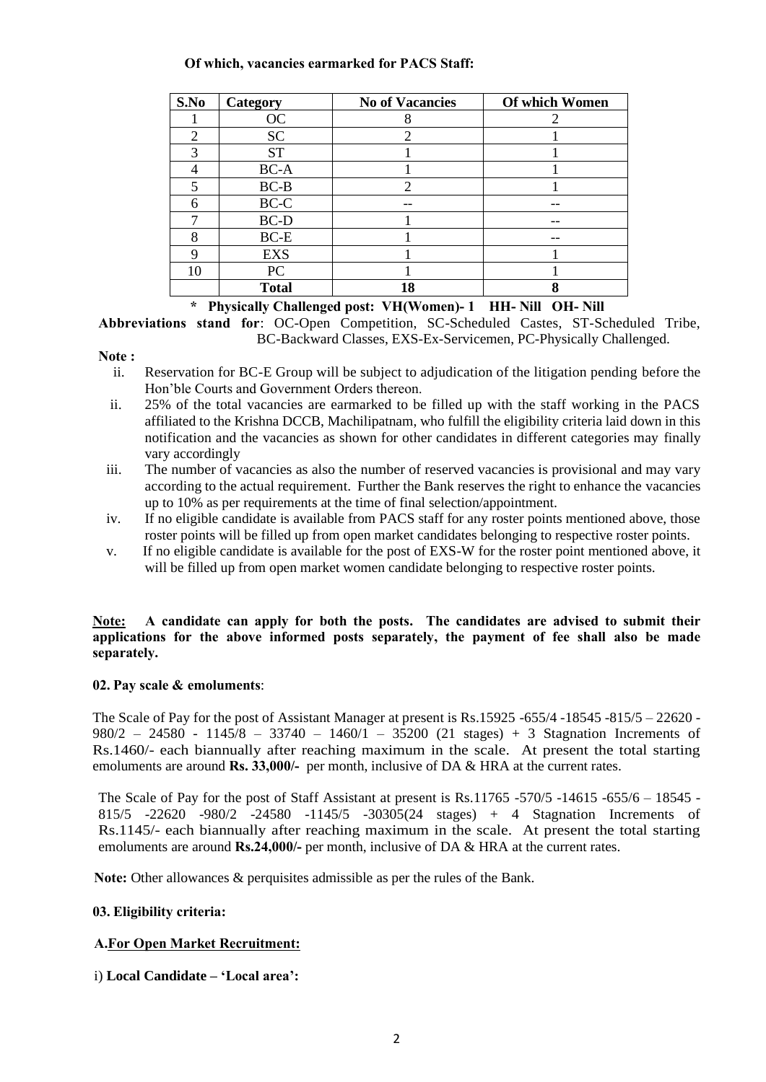#### **Of which, vacancies earmarked for PACS Staff:**

| S.No | Category     | <b>No of Vacancies</b> | Of which Women |
|------|--------------|------------------------|----------------|
|      | OC           |                        |                |
| 2    | <b>SC</b>    |                        |                |
| 3    | <b>ST</b>    |                        |                |
|      | BC-A         |                        |                |
|      | $BC-B$       | ി                      |                |
| 6    | BC-C         |                        |                |
|      | BC-D         |                        |                |
| 8    | $BC-E$       |                        |                |
| Q    | <b>EXS</b>   |                        |                |
| 10   | PC           |                        |                |
|      | <b>Total</b> | 18                     |                |

 **\* Physically Challenged post: VH(Women)- 1 HH- Nill OH- Nill**

**Abbreviations stand for**: OC-Open Competition, SC-Scheduled Castes, ST-Scheduled Tribe, BC-Backward Classes, EXS-Ex-Servicemen, PC-Physically Challenged.

#### **Note :**

- ii. Reservation for BC-E Group will be subject to adjudication of the litigation pending before the Hon'ble Courts and Government Orders thereon.
- ii. 25% of the total vacancies are earmarked to be filled up with the staff working in the PACS affiliated to the Krishna DCCB, Machilipatnam, who fulfill the eligibility criteria laid down in this notification and the vacancies as shown for other candidates in different categories may finally vary accordingly
- iii. The number of vacancies as also the number of reserved vacancies is provisional and may vary according to the actual requirement. Further the Bank reserves the right to enhance the vacancies up to 10% as per requirements at the time of final selection/appointment.
- iv. If no eligible candidate is available from PACS staff for any roster points mentioned above, those roster points will be filled up from open market candidates belonging to respective roster points.
- v. If no eligible candidate is available for the post of EXS-W for the roster point mentioned above, it will be filled up from open market women candidate belonging to respective roster points.

#### **Note: A candidate can apply for both the posts. The candidates are advised to submit their applications for the above informed posts separately, the payment of fee shall also be made separately.**

## **02. Pay scale & emoluments**:

The Scale of Pay for the post of Assistant Manager at present is Rs.15925 -655/4 -18545 -815/5 – 22620 - 980/2 – 24580 - 1145/8 – 33740 – 1460/1 – 35200 (21 stages) + 3 Stagnation Increments of Rs.1460/- each biannually after reaching maximum in the scale. At present the total starting emoluments are around **Rs. 33,000/-** per month, inclusive of DA & HRA at the current rates.

The Scale of Pay for the post of Staff Assistant at present is Rs.11765 -570/5 -14615 -655/6 – 18545 - 815/5 -22620 -980/2 -24580 -1145/5 -30305(24 stages) + 4 Stagnation Increments of Rs.1145/- each biannually after reaching maximum in the scale. At present the total starting emoluments are around **Rs.24,000/-** per month, inclusive of DA & HRA at the current rates.

**Note:** Other allowances & perquisites admissible as per the rules of the Bank.

## **03. Eligibility criteria:**

## **A.For Open Market Recruitment:**

i) **Local Candidate – 'Local area':**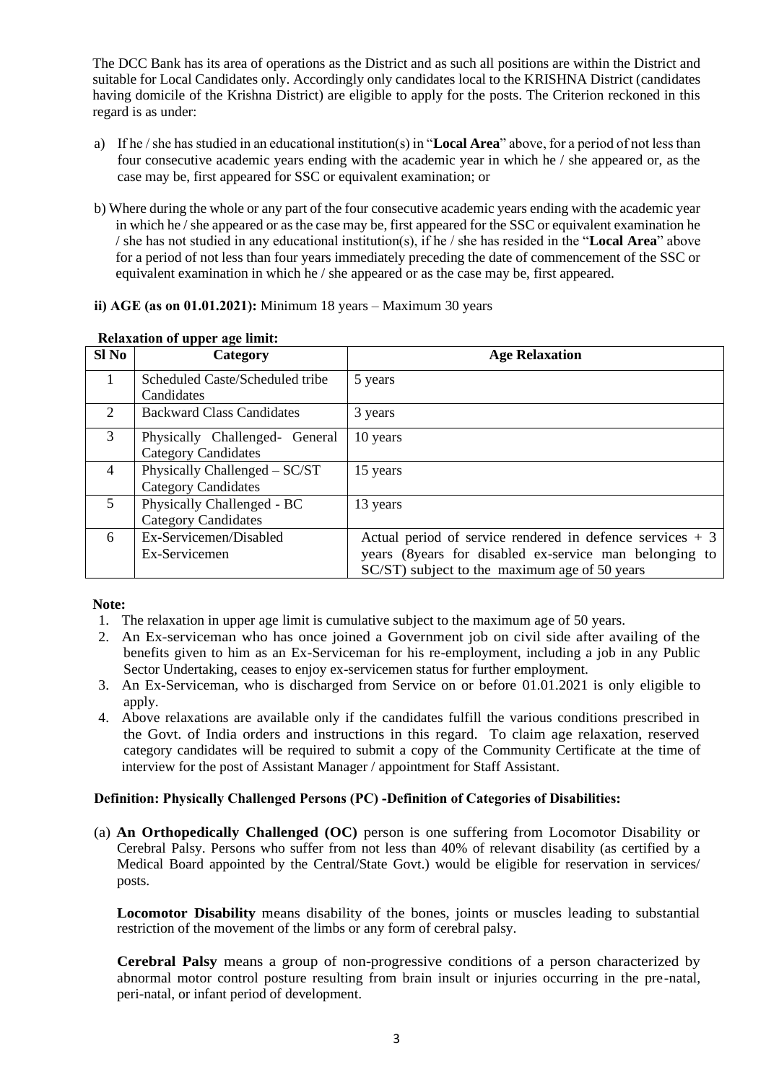The DCC Bank has its area of operations as the District and as such all positions are within the District and suitable for Local Candidates only. Accordingly only candidates local to the KRISHNA District (candidates having domicile of the Krishna District) are eligible to apply for the posts. The Criterion reckoned in this regard is as under:

- a) If he / she has studied in an educational institution(s) in "**Local Area**" above, for a period of not less than four consecutive academic years ending with the academic year in which he / she appeared or, as the case may be, first appeared for SSC or equivalent examination; or
- b) Where during the whole or any part of the four consecutive academic years ending with the academic year in which he / she appeared or as the case may be, first appeared for the SSC or equivalent examination he / she has not studied in any educational institution(s), if he / she has resided in the "**Local Area**" above for a period of not less than four years immediately preceding the date of commencement of the SSC or equivalent examination in which he / she appeared or as the case may be, first appeared.

#### **ii) AGE (as on 01.01.2021):** Minimum 18 years – Maximum 30 years

| Sl No                       | Category                         | <b>Age Relaxation</b>                                      |
|-----------------------------|----------------------------------|------------------------------------------------------------|
|                             | Scheduled Caste/Scheduled tribe  | 5 years                                                    |
|                             | Candidates                       |                                                            |
| $\mathcal{D}_{\mathcal{L}}$ | <b>Backward Class Candidates</b> | 3 years                                                    |
| 3                           | Physically Challenged- General   | 10 years                                                   |
|                             | <b>Category Candidates</b>       |                                                            |
| $\overline{4}$              | Physically Challenged – SC/ST    | 15 years                                                   |
|                             | <b>Category Candidates</b>       |                                                            |
| 5                           | Physically Challenged - BC       | 13 years                                                   |
|                             | <b>Category Candidates</b>       |                                                            |
| 6                           | Ex-Servicemen/Disabled           | Actual period of service rendered in defence services $+3$ |
|                             | Ex-Servicemen                    | years (8years for disabled ex-service man belonging to     |
|                             |                                  | SC/ST) subject to the maximum age of 50 years              |

#### **Relaxation of upper age limit:**

#### **Note:**

- 1. The relaxation in upper age limit is cumulative subject to the maximum age of 50 years.
- 2. An Ex-serviceman who has once joined a Government job on civil side after availing of the benefits given to him as an Ex-Serviceman for his re-employment, including a job in any Public Sector Undertaking, ceases to enjoy ex-servicemen status for further employment.
- 3. An Ex-Serviceman, who is discharged from Service on or before 01.01.2021 is only eligible to apply.
- 4. Above relaxations are available only if the candidates fulfill the various conditions prescribed in the Govt. of India orders and instructions in this regard. To claim age relaxation, reserved category candidates will be required to submit a copy of the Community Certificate at the time of interview for the post of Assistant Manager / appointment for Staff Assistant.

#### **Definition: Physically Challenged Persons (PC) -Definition of Categories of Disabilities:**

(a) **An Orthopedically Challenged (OC)** person is one suffering from Locomotor Disability or Cerebral Palsy. Persons who suffer from not less than 40% of relevant disability (as certified by a Medical Board appointed by the Central/State Govt.) would be eligible for reservation in services/ posts.

**Locomotor Disability** means disability of the bones, joints or muscles leading to substantial restriction of the movement of the limbs or any form of cerebral palsy.

**Cerebral Palsy** means a group of non-progressive conditions of a person characterized by abnormal motor control posture resulting from brain insult or injuries occurring in the pre-natal, peri-natal, or infant period of development.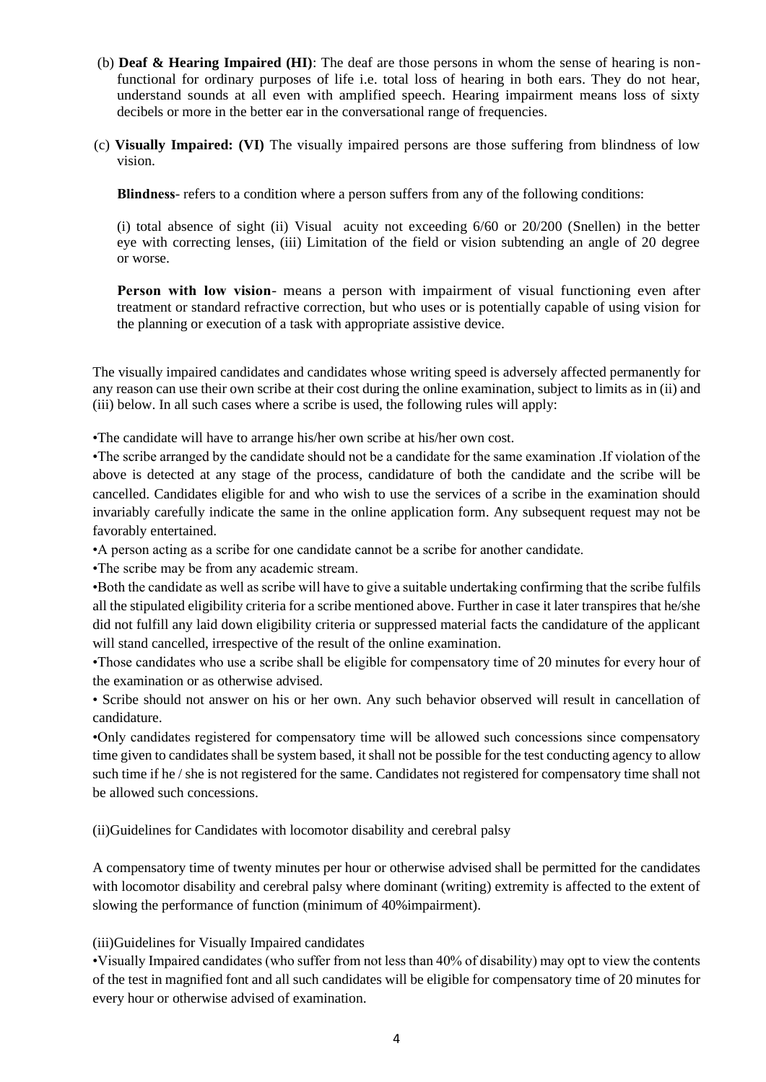- (b) **Deaf & Hearing Impaired (HI)**: The deaf are those persons in whom the sense of hearing is nonfunctional for ordinary purposes of life i.e. total loss of hearing in both ears. They do not hear, understand sounds at all even with amplified speech. Hearing impairment means loss of sixty decibels or more in the better ear in the conversational range of frequencies.
- (c) **Visually Impaired: (VI)** The visually impaired persons are those suffering from blindness of low vision.

**Blindness**- refers to a condition where a person suffers from any of the following conditions:

(i) total absence of sight (ii) Visual acuity not exceeding 6/60 or 20/200 (Snellen) in the better eye with correcting lenses, (iii) Limitation of the field or vision subtending an angle of 20 degree or worse.

**Person with low vision**- means a person with impairment of visual functioning even after treatment or standard refractive correction, but who uses or is potentially capable of using vision for the planning or execution of a task with appropriate assistive device.

The visually impaired candidates and candidates whose writing speed is adversely affected permanently for any reason can use their own scribe at their cost during the online examination, subject to limits as in (ii) and (iii) below. In all such cases where a scribe is used, the following rules will apply:

•The candidate will have to arrange his/her own scribe at his/her own cost.

•The scribe arranged by the candidate should not be a candidate for the same examination .If violation of the above is detected at any stage of the process, candidature of both the candidate and the scribe will be cancelled. Candidates eligible for and who wish to use the services of a scribe in the examination should invariably carefully indicate the same in the online application form. Any subsequent request may not be favorably entertained.

•A person acting as a scribe for one candidate cannot be a scribe for another candidate.

•The scribe may be from any academic stream.

•Both the candidate as well as scribe will have to give a suitable undertaking confirming that the scribe fulfils all the stipulated eligibility criteria for a scribe mentioned above. Further in case it later transpires that he/she did not fulfill any laid down eligibility criteria or suppressed material facts the candidature of the applicant will stand cancelled, irrespective of the result of the online examination.

•Those candidates who use a scribe shall be eligible for compensatory time of 20 minutes for every hour of the examination or as otherwise advised.

• Scribe should not answer on his or her own. Any such behavior observed will result in cancellation of candidature.

•Only candidates registered for compensatory time will be allowed such concessions since compensatory time given to candidates shall be system based, it shall not be possible for the test conducting agency to allow such time if he / she is not registered for the same. Candidates not registered for compensatory time shall not be allowed such concessions.

(ii)Guidelines for Candidates with locomotor disability and cerebral palsy

A compensatory time of twenty minutes per hour or otherwise advised shall be permitted for the candidates with locomotor disability and cerebral palsy where dominant (writing) extremity is affected to the extent of slowing the performance of function (minimum of 40%impairment).

(iii)Guidelines for Visually Impaired candidates

•Visually Impaired candidates (who suffer from not less than 40% of disability) may opt to view the contents of the test in magnified font and all such candidates will be eligible for compensatory time of 20 minutes for every hour or otherwise advised of examination.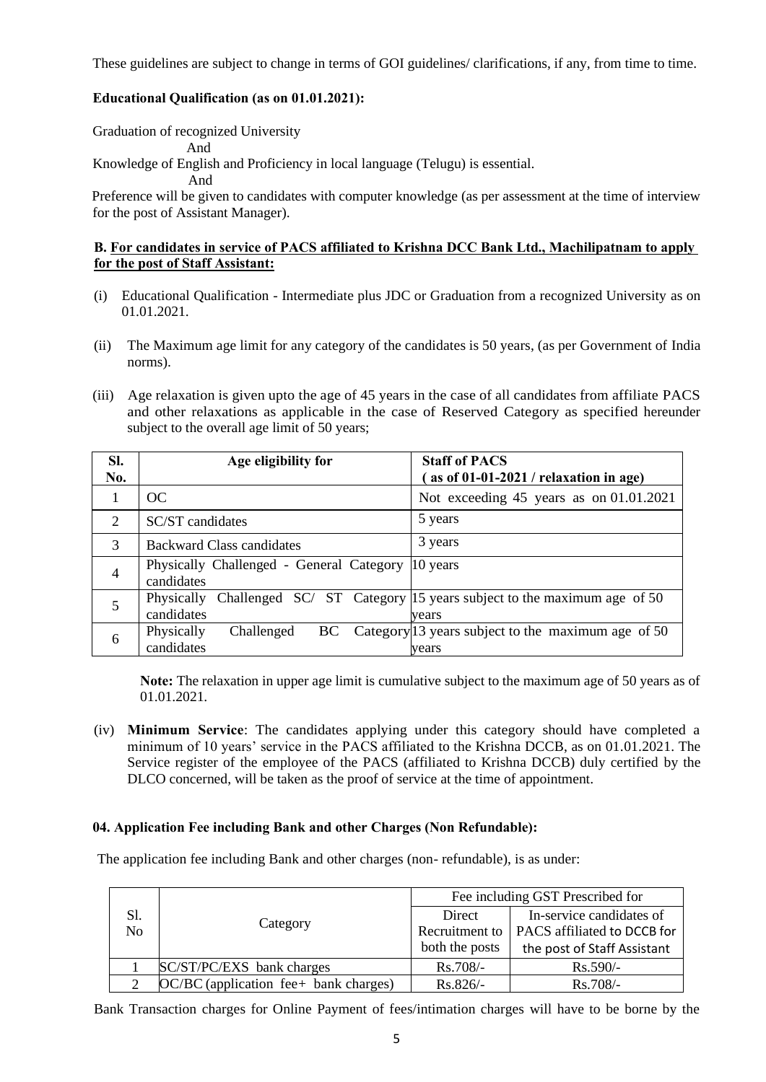These guidelines are subject to change in terms of GOI guidelines/ clarifications, if any, from time to time.

#### **Educational Qualification (as on 01.01.2021):**

Graduation of recognized University And Knowledge of English and Proficiency in local language (Telugu) is essential. And

 Preference will be given to candidates with computer knowledge (as per assessment at the time of interview for the post of Assistant Manager).

#### **B. For candidates in service of PACS affiliated to Krishna DCC Bank Ltd., Machilipatnam to apply for the post of Staff Assistant:**

- (i) Educational Qualification Intermediate plus JDC or Graduation from a recognized University as on 01.01.2021.
- (ii) The Maximum age limit for any category of the candidates is 50 years, (as per Government of India norms).
- (iii) Age relaxation is given upto the age of 45 years in the case of all candidates from affiliate PACS and other relaxations as applicable in the case of Reserved Category as specified hereunder subject to the overall age limit of 50 years;

| SI.            | Age eligibility for                                    | <b>Staff of PACS</b>                                                          |
|----------------|--------------------------------------------------------|-------------------------------------------------------------------------------|
| No.            |                                                        | as of $01-01-2021$ / relaxation in age)                                       |
| 1              | OC                                                     | Not exceeding 45 years as on 01.01.2021                                       |
| 2              | SC/ST candidates                                       | 5 years                                                                       |
| 3              | Backward Class candidates                              | 3 years                                                                       |
| $\overline{4}$ | Physically Challenged - General Category<br>candidates | 10 years                                                                      |
| 5              | Physically<br>candidates                               | Challenged SC/ ST Category 15 years subject to the maximum age of 50<br>vears |
| 6              | Physically<br>Challenged<br>BC<br>candidates           | Category <sup>[13]</sup> years subject to the maximum age of 50<br>vears      |

**Note:** The relaxation in upper age limit is cumulative subject to the maximum age of 50 years as of 01.01.2021.

(iv) **Minimum Service**: The candidates applying under this category should have completed a minimum of 10 years' service in the PACS affiliated to the Krishna DCCB, as on 01.01.2021. The Service register of the employee of the PACS (affiliated to Krishna DCCB) duly certified by the DLCO concerned, will be taken as the proof of service at the time of appointment.

#### **04. Application Fee including Bank and other Charges (Non Refundable):**

The application fee including Bank and other charges (non- refundable), is as under:

|     |                                         | Fee including GST Prescribed for |                                              |
|-----|-----------------------------------------|----------------------------------|----------------------------------------------|
| Sl. |                                         | Direct                           | In-service candidates of                     |
| No  | Category                                |                                  | Recruitment to   PACS affiliated to DCCB for |
|     |                                         | both the posts                   | the post of Staff Assistant                  |
|     | SC/ST/PC/EXS bank charges               | $Rs.708/-$                       | $Rs.590/-$                                   |
|     | $OC/BC$ (application fee+ bank charges) | $Rs.826/-$                       | $Rs.708/-$                                   |

Bank Transaction charges for Online Payment of fees/intimation charges will have to be borne by the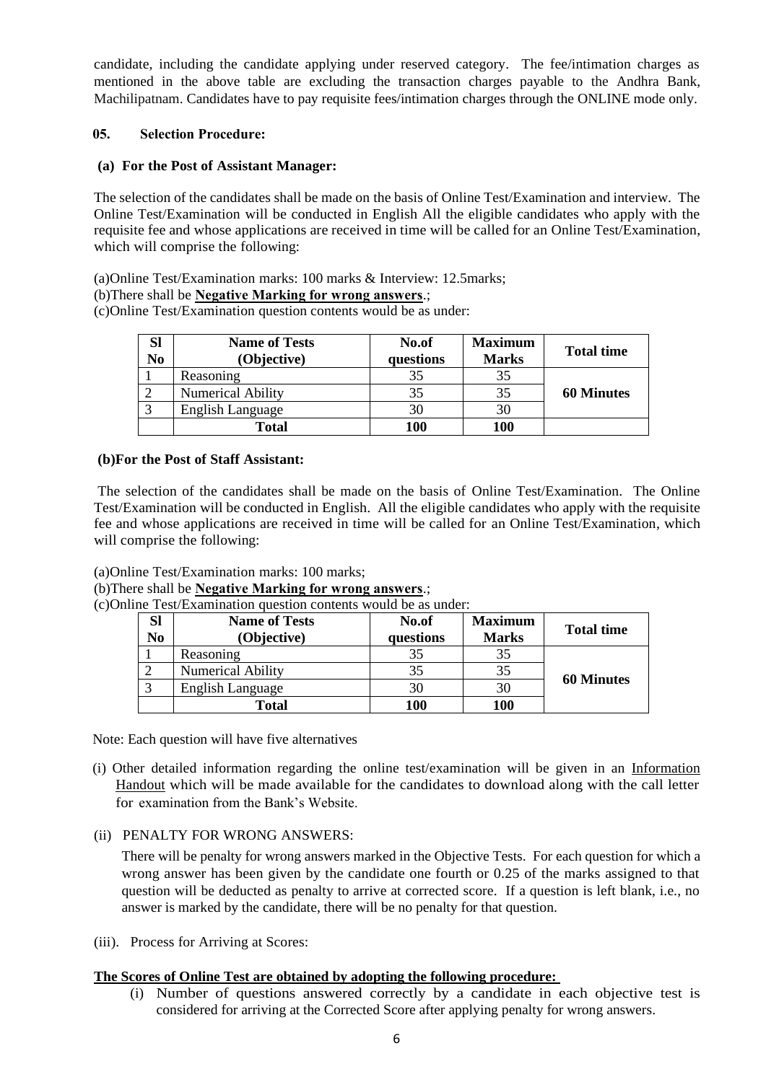candidate, including the candidate applying under reserved category. The fee/intimation charges as mentioned in the above table are excluding the transaction charges payable to the Andhra Bank, Machilipatnam. Candidates have to pay requisite fees/intimation charges through the ONLINE mode only.

#### **05. Selection Procedure:**

## **(a) For the Post of Assistant Manager:**

The selection of the candidates shall be made on the basis of Online Test/Examination and interview. The Online Test/Examination will be conducted in English All the eligible candidates who apply with the requisite fee and whose applications are received in time will be called for an Online Test/Examination, which will comprise the following:

(a)Online Test/Examination marks: 100 marks & Interview: 12.5marks;

(b)There shall be **Negative Marking for wrong answers**.;

(c)Online Test/Examination question contents would be as under:

| SI<br>N <sub>0</sub> | <b>Name of Tests</b><br>(Objective) | No.of<br>questions | <b>Maximum</b><br><b>Marks</b> | <b>Total time</b> |
|----------------------|-------------------------------------|--------------------|--------------------------------|-------------------|
|                      | Reasoning                           | 35                 | 35                             |                   |
|                      | <b>Numerical Ability</b>            | 35                 | 35                             | <b>60 Minutes</b> |
|                      | <b>English Language</b>             | 30                 | 30                             |                   |
|                      | <b>Total</b>                        | 100                | 100                            |                   |

#### **(b)For the Post of Staff Assistant:**

The selection of the candidates shall be made on the basis of Online Test/Examination. The Online Test/Examination will be conducted in English. All the eligible candidates who apply with the requisite fee and whose applications are received in time will be called for an Online Test/Examination, which will comprise the following:

(a)Online Test/Examination marks: 100 marks;

#### (b)There shall be **Negative Marking for wrong answers**.;

(c)Online Test/Examination question contents would be as under:

| Sl<br>No | <b>Name of Tests</b><br>(Objective) | No.of<br>questions | <b>Maximum</b><br><b>Marks</b> | <b>Total time</b> |
|----------|-------------------------------------|--------------------|--------------------------------|-------------------|
|          | Reasoning                           |                    | 35                             |                   |
|          | <b>Numerical Ability</b>            | 35                 | 35                             |                   |
|          | <b>English Language</b>             | 30                 | 30                             | <b>60 Minutes</b> |
|          | Total                               | <b>100</b>         | 100                            |                   |

Note: Each question will have five alternatives

(i) Other detailed information regarding the online test/examination will be given in an Information Handout which will be made available for the candidates to download along with the call letter for examination from the Bank's Website.

## (ii) PENALTY FOR WRONG ANSWERS:

There will be penalty for wrong answers marked in the Objective Tests. For each question for which a wrong answer has been given by the candidate one fourth or 0.25 of the marks assigned to that question will be deducted as penalty to arrive at corrected score. If a question is left blank, i.e., no answer is marked by the candidate, there will be no penalty for that question.

(iii). Process for Arriving at Scores:

## **The Scores of Online Test are obtained by adopting the following procedure:**

(i) Number of questions answered correctly by a candidate in each objective test is considered for arriving at the Corrected Score after applying penalty for wrong answers.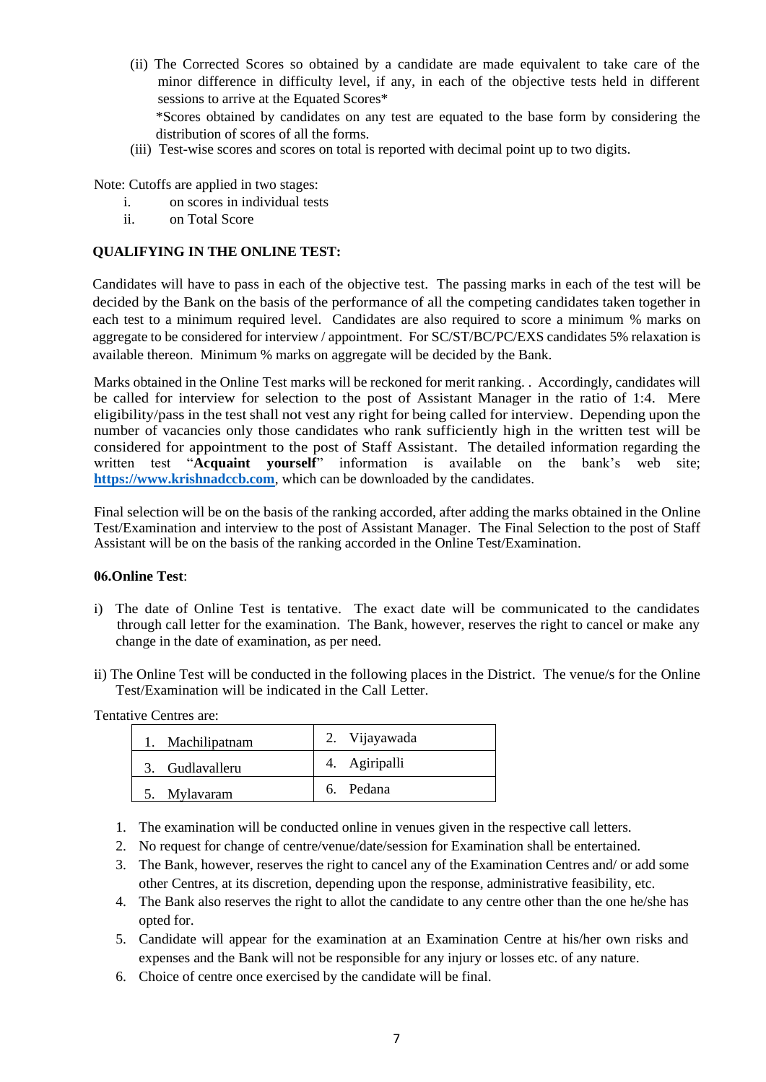- (ii) The Corrected Scores so obtained by a candidate are made equivalent to take care of the minor difference in difficulty level, if any, in each of the objective tests held in different sessions to arrive at the Equated Scores\* \*Scores obtained by candidates on any test are equated to the base form by considering the distribution of scores of all the forms.
- (iii) Test-wise scores and scores on total is reported with decimal point up to two digits.

Note: Cutoffs are applied in two stages:

- i. on scores in individual tests
- ii. on Total Score

## **QUALIFYING IN THE ONLINE TEST:**

Candidates will have to pass in each of the objective test. The passing marks in each of the test will be decided by the Bank on the basis of the performance of all the competing candidates taken together in each test to a minimum required level. Candidates are also required to score a minimum % marks on aggregate to be considered for interview / appointment. For SC/ST/BC/PC/EXS candidates 5% relaxation is available thereon. Minimum % marks on aggregate will be decided by the Bank.

Marks obtained in the Online Test marks will be reckoned for merit ranking. . Accordingly, candidates will be called for interview for selection to the post of Assistant Manager in the ratio of 1:4. Mere eligibility/pass in the test shall not vest any right for being called for interview. Depending upon the number of vacancies only those candidates who rank sufficiently high in the written test will be considered for appointment to the post of Staff Assistant. The detailed information regarding the written test "**Acquaint yourself**" information is available on the bank's web site; **[https://www.krishnadccb.com](https://www.krishnadccb.com/)**, which can be downloaded by the candidates.

Final selection will be on the basis of the ranking accorded, after adding the marks obtained in the Online Test/Examination and interview to the post of Assistant Manager. The Final Selection to the post of Staff Assistant will be on the basis of the ranking accorded in the Online Test/Examination.

#### **06.Online Test**:

- i) The date of Online Test is tentative. The exact date will be communicated to the candidates through call letter for the examination. The Bank, however, reserves the right to cancel or make any change in the date of examination, as per need.
- ii) The Online Test will be conducted in the following places in the District. The venue/s for the Online Test/Examination will be indicated in the Call Letter.

Tentative Centres are:

| 1. Machilipatnam | 2. Vijayawada |
|------------------|---------------|
| 3. Gudlavalleru  | 4. Agiripalli |
| 5. Mylavaram     | 6. Pedana     |

- 1. The examination will be conducted online in venues given in the respective call letters.
- 2. No request for change of centre/venue/date/session for Examination shall be entertained.
- 3. The Bank, however, reserves the right to cancel any of the Examination Centres and/ or add some other Centres, at its discretion, depending upon the response, administrative feasibility, etc.
- 4. The Bank also reserves the right to allot the candidate to any centre other than the one he/she has opted for.
- 5. Candidate will appear for the examination at an Examination Centre at his/her own risks and expenses and the Bank will not be responsible for any injury or losses etc. of any nature.
- 6. Choice of centre once exercised by the candidate will be final.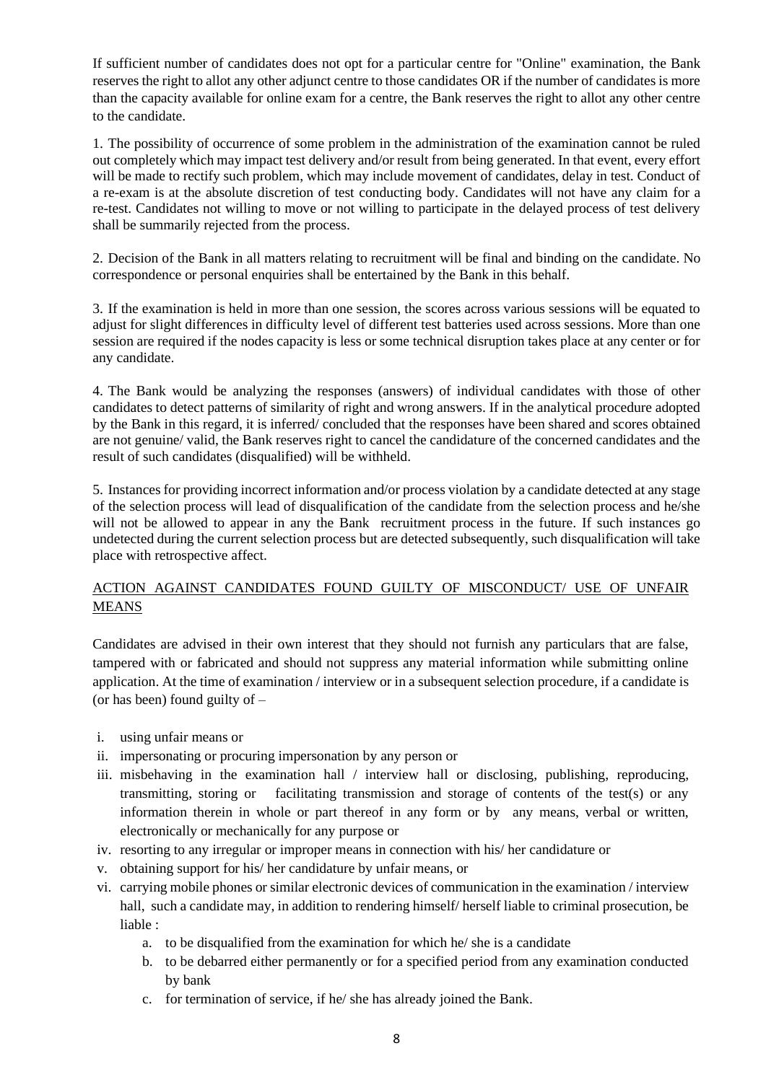If sufficient number of candidates does not opt for a particular centre for "Online" examination, the Bank reserves the right to allot any other adjunct centre to those candidates OR if the number of candidates is more than the capacity available for online exam for a centre, the Bank reserves the right to allot any other centre to the candidate.

1. The possibility of occurrence of some problem in the administration of the examination cannot be ruled out completely which may impact test delivery and/or result from being generated. In that event, every effort will be made to rectify such problem, which may include movement of candidates, delay in test. Conduct of a re-exam is at the absolute discretion of test conducting body. Candidates will not have any claim for a re-test. Candidates not willing to move or not willing to participate in the delayed process of test delivery shall be summarily rejected from the process.

2. Decision of the Bank in all matters relating to recruitment will be final and binding on the candidate. No correspondence or personal enquiries shall be entertained by the Bank in this behalf.

3. If the examination is held in more than one session, the scores across various sessions will be equated to adjust for slight differences in difficulty level of different test batteries used across sessions. More than one session are required if the nodes capacity is less or some technical disruption takes place at any center or for any candidate.

4. The Bank would be analyzing the responses (answers) of individual candidates with those of other candidates to detect patterns of similarity of right and wrong answers. If in the analytical procedure adopted by the Bank in this regard, it is inferred/ concluded that the responses have been shared and scores obtained are not genuine/ valid, the Bank reserves right to cancel the candidature of the concerned candidates and the result of such candidates (disqualified) will be withheld.

5. Instances for providing incorrect information and/or process violation by a candidate detected at any stage of the selection process will lead of disqualification of the candidate from the selection process and he/she will not be allowed to appear in any the Bank recruitment process in the future. If such instances go undetected during the current selection process but are detected subsequently, such disqualification will take place with retrospective affect.

## ACTION AGAINST CANDIDATES FOUND GUILTY OF MISCONDUCT/ USE OF UNFAIR MEANS

Candidates are advised in their own interest that they should not furnish any particulars that are false, tampered with or fabricated and should not suppress any material information while submitting online application. At the time of examination / interview or in a subsequent selection procedure, if a candidate is (or has been) found guilty of  $-$ 

- i. using unfair means or
- ii. impersonating or procuring impersonation by any person or
- iii. misbehaving in the examination hall / interview hall or disclosing, publishing, reproducing, transmitting, storing or facilitating transmission and storage of contents of the test(s) or any information therein in whole or part thereof in any form or by any means, verbal or written, electronically or mechanically for any purpose or
- iv. resorting to any irregular or improper means in connection with his/ her candidature or
- v. obtaining support for his/ her candidature by unfair means, or
- vi. carrying mobile phones or similar electronic devices of communication in the examination / interview hall, such a candidate may, in addition to rendering himself/herself liable to criminal prosecution, be liable :
	- a. to be disqualified from the examination for which he/ she is a candidate
	- b. to be debarred either permanently or for a specified period from any examination conducted by bank
	- c. for termination of service, if he/ she has already joined the Bank.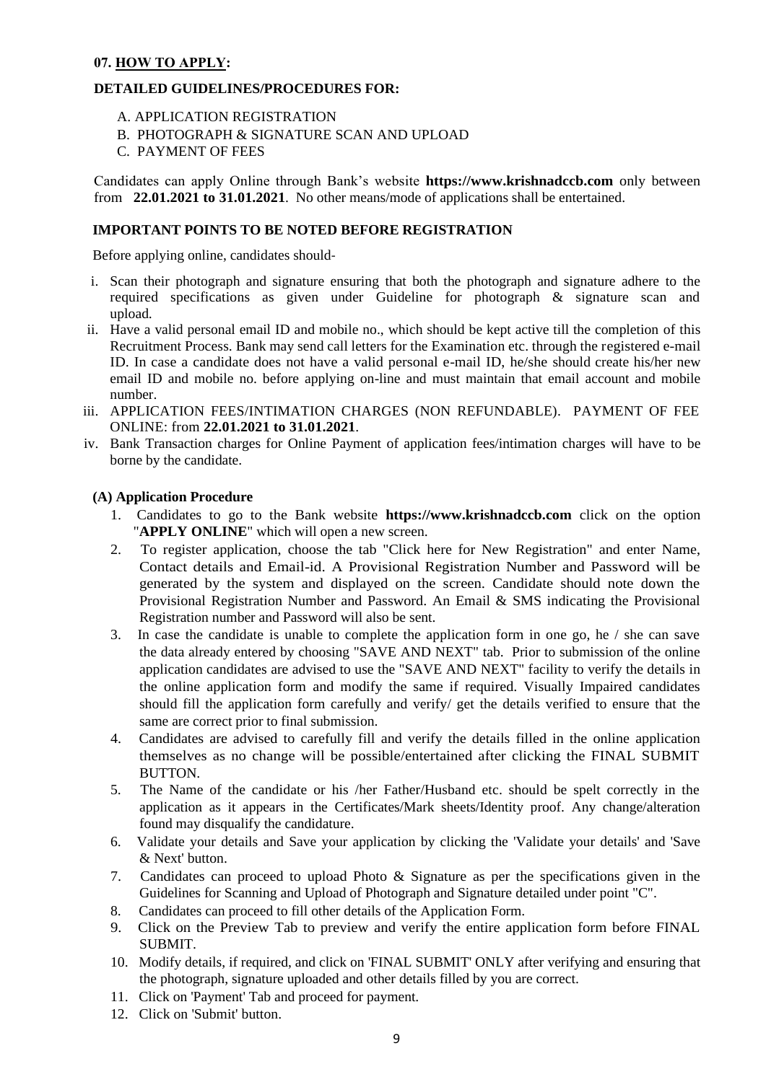## **07. HOW TO APPLY:**

#### **DETAILED GUIDELINES/PROCEDURES FOR:**

- A. APPLICATION REGISTRATION
- B. PHOTOGRAPH & SIGNATURE SCAN AND UPLOAD
- C. PAYMENT OF FEES

Candidates can apply Online through Bank's website **https://www.krishnadccb.com** only between from **22.01.2021 to 31.01.2021**. No other means/mode of applications shall be entertained.

#### **IMPORTANT POINTS TO BE NOTED BEFORE REGISTRATION**

Before applying online, candidates should-

- i. Scan their photograph and signature ensuring that both the photograph and signature adhere to the required specifications as given under Guideline for photograph & signature scan and upload.
- ii. Have a valid personal email ID and mobile no., which should be kept active till the completion of this Recruitment Process. Bank may send call letters for the Examination etc. through the registered e-mail ID. In case a candidate does not have a valid personal e-mail ID, he/she should create his/her new email ID and mobile no. before applying on-line and must maintain that email account and mobile number.
- iii. APPLICATION FEES/INTIMATION CHARGES (NON REFUNDABLE). PAYMENT OF FEE ONLINE: from **22.01.2021 to 31.01.2021**.
- iv. Bank Transaction charges for Online Payment of application fees/intimation charges will have to be borne by the candidate.

#### **(A) Application Procedure**

- 1. Candidates to go to the Bank website **https://www.krishnadccb.com** click on the option "**APPLY ONLINE**" which will open a new screen.
- 2. To register application, choose the tab "Click here for New Registration" and enter Name, Contact details and Email-id. A Provisional Registration Number and Password will be generated by the system and displayed on the screen. Candidate should note down the Provisional Registration Number and Password. An Email & SMS indicating the Provisional Registration number and Password will also be sent.
- 3. In case the candidate is unable to complete the application form in one go, he / she can save the data already entered by choosing "SAVE AND NEXT" tab. Prior to submission of the online application candidates are advised to use the "SAVE AND NEXT" facility to verify the details in the online application form and modify the same if required. Visually Impaired candidates should fill the application form carefully and verify/ get the details verified to ensure that the same are correct prior to final submission.
- 4. Candidates are advised to carefully fill and verify the details filled in the online application themselves as no change will be possible/entertained after clicking the FINAL SUBMIT **BUTTON**
- 5. The Name of the candidate or his /her Father/Husband etc. should be spelt correctly in the application as it appears in the Certificates/Mark sheets/Identity proof. Any change/alteration found may disqualify the candidature.
- 6. Validate your details and Save your application by clicking the 'Validate your details' and 'Save & Next' button.
- 7. Candidates can proceed to upload Photo & Signature as per the specifications given in the Guidelines for Scanning and Upload of Photograph and Signature detailed under point "C".
- 8. Candidates can proceed to fill other details of the Application Form.
- 9. Click on the Preview Tab to preview and verify the entire application form before FINAL SUBMIT.
- 10. Modify details, if required, and click on 'FINAL SUBMIT' ONLY after verifying and ensuring that the photograph, signature uploaded and other details filled by you are correct.
- 11. Click on 'Payment' Tab and proceed for payment.
- 12. Click on 'Submit' button.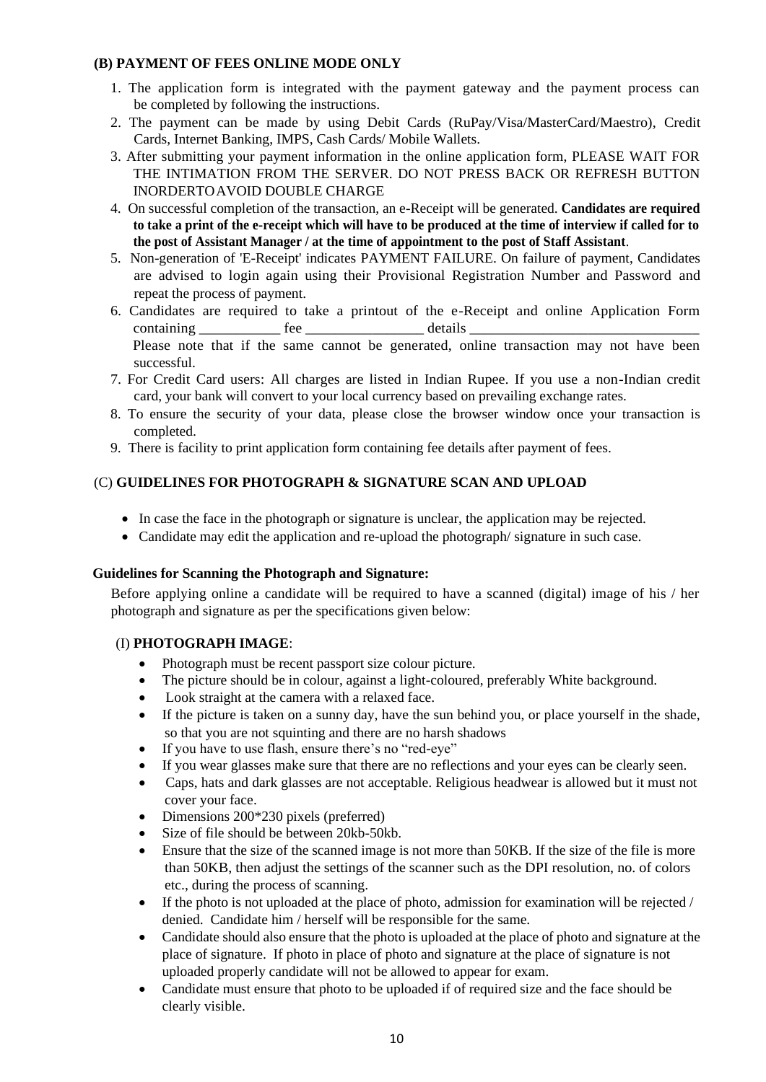## **(B) PAYMENT OF FEES ONLINE MODE ONLY**

- 1. The application form is integrated with the payment gateway and the payment process can be completed by following the instructions.
- 2. The payment can be made by using Debit Cards (RuPay/Visa/MasterCard/Maestro), Credit Cards, Internet Banking, IMPS, Cash Cards/ Mobile Wallets.
- 3. After submitting your payment information in the online application form, PLEASE WAIT FOR THE INTIMATION FROM THE SERVER. DO NOT PRESS BACK OR REFRESH BUTTON INORDERTOAVOID DOUBLE CHARGE
- 4. On successful completion of the transaction, an e-Receipt will be generated. **Candidates are required to take a print of the e-receipt which will have to be produced at the time of interview if called for to the post of Assistant Manager / at the time of appointment to the post of Staff Assistant**.
- 5. Non-generation of 'E-Receipt' indicates PAYMENT FAILURE. On failure of payment, Candidates are advised to login again using their Provisional Registration Number and Password and repeat the process of payment.
- 6. Candidates are required to take a printout of the e-Receipt and online Application Form containing the fee details  $\alpha$  Please note that if the same cannot be generated, online transaction may not have been successful.
- 7. For Credit Card users: All charges are listed in Indian Rupee. If you use a non-Indian credit card, your bank will convert to your local currency based on prevailing exchange rates.
- 8. To ensure the security of your data, please close the browser window once your transaction is completed.
- 9. There is facility to print application form containing fee details after payment of fees.

## (C) **GUIDELINES FOR PHOTOGRAPH & SIGNATURE SCAN AND UPLOAD**

- In case the face in the photograph or signature is unclear, the application may be rejected.
- Candidate may edit the application and re-upload the photograph/ signature in such case.

#### **Guidelines for Scanning the Photograph and Signature:**

Before applying online a candidate will be required to have a scanned (digital) image of his / her photograph and signature as per the specifications given below:

#### (I) **PHOTOGRAPH IMAGE**:

- Photograph must be recent passport size colour picture.
- The picture should be in colour, against a light-coloured, preferably White background.
- Look straight at the camera with a relaxed face.
- If the picture is taken on a sunny day, have the sun behind you, or place yourself in the shade, so that you are not squinting and there are no harsh shadows
- If you have to use flash, ensure there's no "red-eye"
- If you wear glasses make sure that there are no reflections and your eyes can be clearly seen.
- Caps, hats and dark glasses are not acceptable. Religious headwear is allowed but it must not cover your face.
- Dimensions 200\*230 pixels (preferred)
- Size of file should be between 20kb-50kb.
- Ensure that the size of the scanned image is not more than 50KB. If the size of the file is more than 50KB, then adjust the settings of the scanner such as the DPI resolution, no. of colors etc., during the process of scanning.
- If the photo is not uploaded at the place of photo, admission for examination will be rejected / denied. Candidate him / herself will be responsible for the same.
- Candidate should also ensure that the photo is uploaded at the place of photo and signature at the place of signature. If photo in place of photo and signature at the place of signature is not uploaded properly candidate will not be allowed to appear for exam.
- Candidate must ensure that photo to be uploaded if of required size and the face should be clearly visible.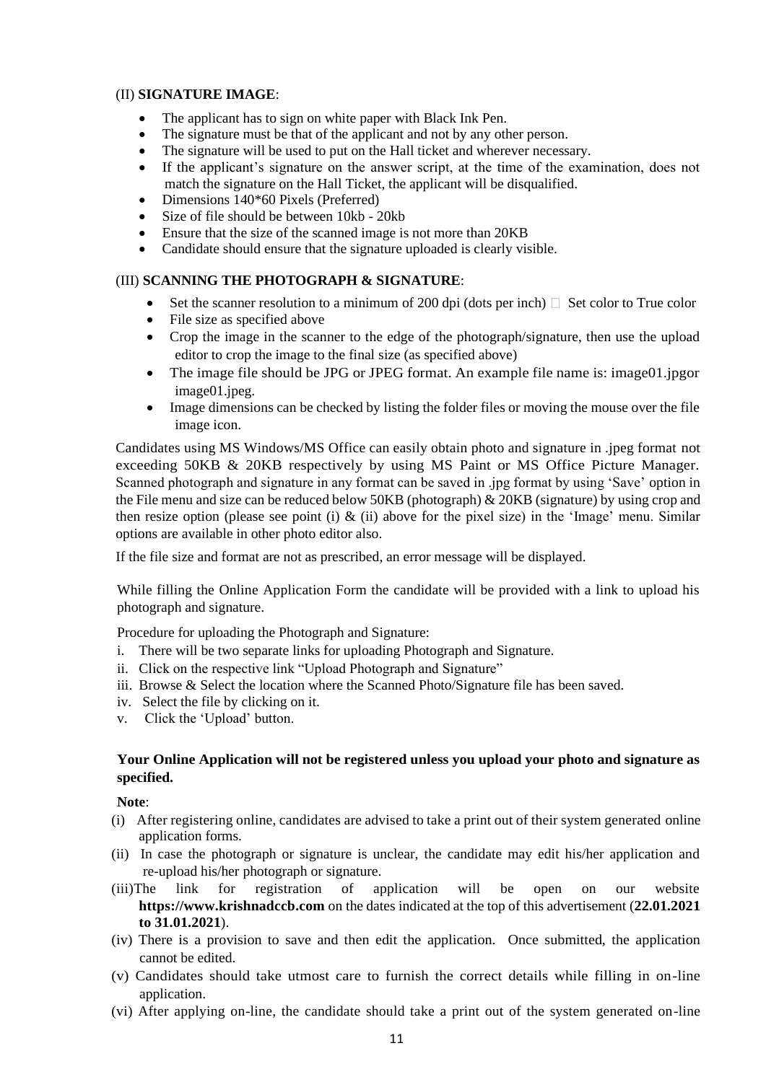#### (II) **SIGNATURE IMAGE**:

- The applicant has to sign on white paper with Black Ink Pen.
- The signature must be that of the applicant and not by any other person.
- The signature will be used to put on the Hall ticket and wherever necessary.
- If the applicant's signature on the answer script, at the time of the examination, does not match the signature on the Hall Ticket, the applicant will be disqualified.
- Dimensions 140\*60 Pixels (Preferred)
- Size of file should be between 10kb 20kb
- Ensure that the size of the scanned image is not more than 20KB
- Candidate should ensure that the signature uploaded is clearly visible.

#### (III) **SCANNING THE PHOTOGRAPH & SIGNATURE**:

- Set the scanner resolution to a minimum of 200 dpi (dots per inch)  $\Box$  Set color to True color
- File size as specified above
- Crop the image in the scanner to the edge of the photograph/signature, then use the upload editor to crop the image to the final size (as specified above)
- The image file should be JPG or JPEG format. An example file name is: image01.jpgor image01.jpeg.
- Image dimensions can be checked by listing the folder files or moving the mouse over the file image icon.

Candidates using MS Windows/MS Office can easily obtain photo and signature in .jpeg format not exceeding 50KB & 20KB respectively by using MS Paint or MS Office Picture Manager. Scanned photograph and signature in any format can be saved in .jpg format by using 'Save' option in the File menu and size can be reduced below 50KB (photograph) & 20KB (signature) by using crop and then resize option (please see point (i)  $\&$  (ii) above for the pixel size) in the 'Image' menu. Similar options are available in other photo editor also.

If the file size and format are not as prescribed, an error message will be displayed.

While filling the Online Application Form the candidate will be provided with a link to upload his photograph and signature.

Procedure for uploading the Photograph and Signature:

- i. There will be two separate links for uploading Photograph and Signature.
- ii. Click on the respective link "Upload Photograph and Signature"
- iii. Browse & Select the location where the Scanned Photo/Signature file has been saved.
- iv. Select the file by clicking on it.
- v. Click the 'Upload' button.

## **Your Online Application will not be registered unless you upload your photo and signature as specified.**

**Note**:

- (i) After registering online, candidates are advised to take a print out of their system generated online application forms.
- (ii) In case the photograph or signature is unclear, the candidate may edit his/her application and re-upload his/her photograph or signature.
- (iii)The link for registration of application will be open on our website **https://www.krishnadccb.com** on the dates indicated at the top of this advertisement (**22.01.2021 to 31.01.2021**).
- (iv) There is a provision to save and then edit the application. Once submitted, the application cannot be edited.
- (v) Candidates should take utmost care to furnish the correct details while filling in on-line application.
- (vi) After applying on-line, the candidate should take a print out of the system generated on-line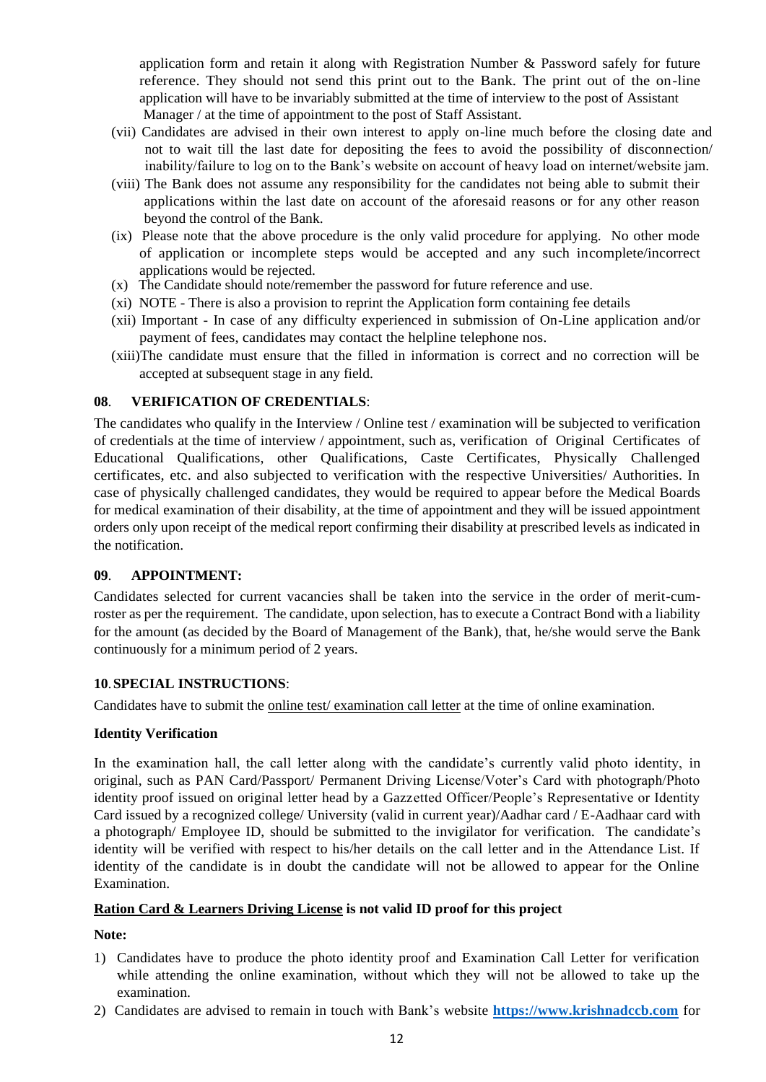application form and retain it along with Registration Number & Password safely for future reference. They should not send this print out to the Bank. The print out of the on-line application will have to be invariably submitted at the time of interview to the post of Assistant Manager / at the time of appointment to the post of Staff Assistant.

- (vii) Candidates are advised in their own interest to apply on-line much before the closing date and not to wait till the last date for depositing the fees to avoid the possibility of disconnection/ inability/failure to log on to the Bank's website on account of heavy load on internet/website jam.
- (viii) The Bank does not assume any responsibility for the candidates not being able to submit their applications within the last date on account of the aforesaid reasons or for any other reason beyond the control of the Bank.
- (ix) Please note that the above procedure is the only valid procedure for applying. No other mode of application or incomplete steps would be accepted and any such incomplete/incorrect applications would be rejected.
- (x) The Candidate should note/remember the password for future reference and use.
- (xi) NOTE There is also a provision to reprint the Application form containing fee details
- (xii) Important In case of any difficulty experienced in submission of On-Line application and/or payment of fees, candidates may contact the helpline telephone nos.
- (xiii)The candidate must ensure that the filled in information is correct and no correction will be accepted at subsequent stage in any field.

## **08**. **VERIFICATION OF CREDENTIALS**:

The candidates who qualify in the Interview / Online test / examination will be subjected to verification of credentials at the time of interview / appointment, such as, verification of Original Certificates of Educational Qualifications, other Qualifications, Caste Certificates, Physically Challenged certificates, etc. and also subjected to verification with the respective Universities/ Authorities. In case of physically challenged candidates, they would be required to appear before the Medical Boards for medical examination of their disability, at the time of appointment and they will be issued appointment orders only upon receipt of the medical report confirming their disability at prescribed levels as indicated in the notification.

#### **09**. **APPOINTMENT:**

Candidates selected for current vacancies shall be taken into the service in the order of merit-cumroster as per the requirement. The candidate, upon selection, has to execute a Contract Bond with a liability for the amount (as decided by the Board of Management of the Bank), that, he/she would serve the Bank continuously for a minimum period of 2 years.

#### **10**.**SPECIAL INSTRUCTIONS**:

Candidates have to submit the online test/ examination call letter at the time of online examination.

#### **Identity Verification**

In the examination hall, the call letter along with the candidate's currently valid photo identity, in original, such as PAN Card/Passport/ Permanent Driving License/Voter's Card with photograph/Photo identity proof issued on original letter head by a Gazzetted Officer/People's Representative or Identity Card issued by a recognized college/ University (valid in current year)/Aadhar card / E-Aadhaar card with a photograph/ Employee ID, should be submitted to the invigilator for verification. The candidate's identity will be verified with respect to his/her details on the call letter and in the Attendance List. If identity of the candidate is in doubt the candidate will not be allowed to appear for the Online Examination.

#### **Ration Card & Learners Driving License is not valid ID proof for this project**

**Note:** 

- 1) Candidates have to produce the photo identity proof and Examination Call Letter for verification while attending the online examination, without which they will not be allowed to take up the examination.
- 2) Candidates are advised to remain in touch with Bank's website **[https://www.krishnadccb.com](https://www.krishnadccb.com/)** for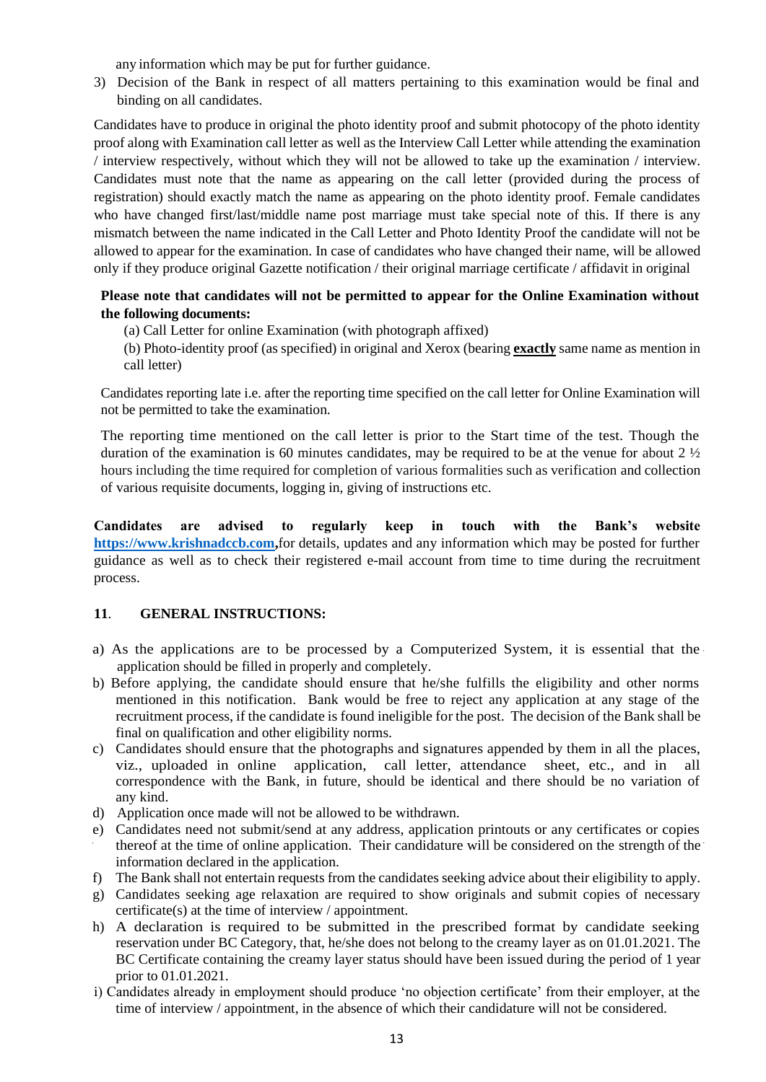any information which may be put for further guidance.

3) Decision of the Bank in respect of all matters pertaining to this examination would be final and binding on all candidates.

Candidates have to produce in original the photo identity proof and submit photocopy of the photo identity proof along with Examination call letter as well as the Interview Call Letter while attending the examination / interview respectively, without which they will not be allowed to take up the examination / interview. Candidates must note that the name as appearing on the call letter (provided during the process of registration) should exactly match the name as appearing on the photo identity proof. Female candidates who have changed first/last/middle name post marriage must take special note of this. If there is any mismatch between the name indicated in the Call Letter and Photo Identity Proof the candidate will not be allowed to appear for the examination. In case of candidates who have changed their name, will be allowed only if they produce original Gazette notification / their original marriage certificate / affidavit in original

## **Please note that candidates will not be permitted to appear for the Online Examination without the following documents:**

(a) Call Letter for online Examination (with photograph affixed)

(b) Photo-identity proof (as specified) in original and Xerox (bearing **exactly** same name as mention in call letter)

Candidates reporting late i.e. after the reporting time specified on the call letter for Online Examination will not be permitted to take the examination.

The reporting time mentioned on the call letter is prior to the Start time of the test. Though the duration of the examination is 60 minutes candidates, may be required to be at the venue for about 2 ½ hours including the time required for completion of various formalities such as verification and collection of various requisite documents, logging in, giving of instructions etc.

**Candidates are advised to regularly keep in touch with the Bank's website [https://www.krishnadccb.com,](https://www.krishnadccb.com/)**for details, updates and any information which may be posted for further guidance as well as to check their registered e-mail account from time to time during the recruitment process.

## **11**. **GENERAL INSTRUCTIONS:**

- a) As the applications are to be processed by a Computerized System, it is essential that the application should be filled in properly and completely.
- b) Before applying, the candidate should ensure that he/she fulfills the eligibility and other norms mentioned in this notification. Bank would be free to reject any application at any stage of the recruitment process, if the candidate is found ineligible for the post. The decision of the Bank shall be final on qualification and other eligibility norms.
- c) Candidates should ensure that the photographs and signatures appended by them in all the places, viz., uploaded in online application, call letter, attendance sheet, etc., and in all correspondence with the Bank, in future, should be identical and there should be no variation of any kind.
- d) Application once made will not be allowed to be withdrawn.
- e) Candidates need not submit/send at any address, application printouts or any certificates or copies thereof at the time of online application. Their candidature will be considered on the strength of the information declared in the application.
- f) The Bank shall not entertain requests from the candidates seeking advice about their eligibility to apply.
- g) Candidates seeking age relaxation are required to show originals and submit copies of necessary certificate(s) at the time of interview / appointment.
- h) A declaration is required to be submitted in the prescribed format by candidate seeking reservation under BC Category, that, he/she does not belong to the creamy layer as on 01.01.2021. The BC Certificate containing the creamy layer status should have been issued during the period of 1 year prior to 01.01.2021.
- i) Candidates already in employment should produce 'no objection certificate' from their employer, at the time of interview / appointment, in the absence of which their candidature will not be considered.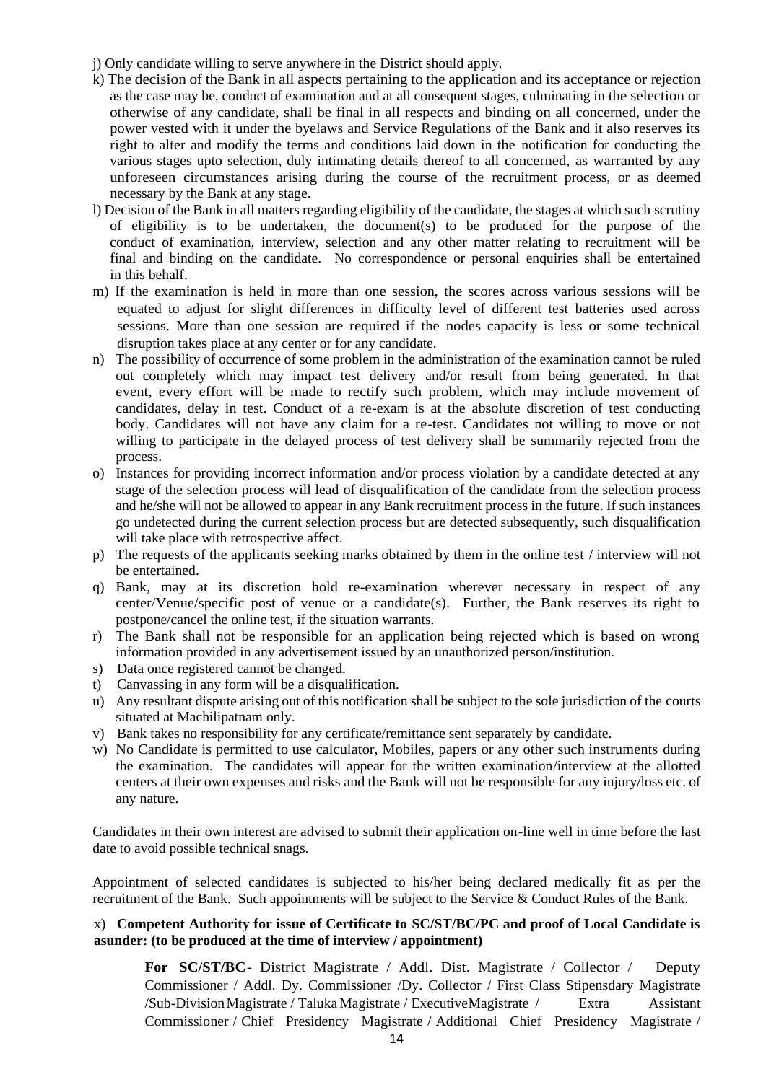- j) Only candidate willing to serve anywhere in the District should apply.
- k) The decision of the Bank in all aspects pertaining to the application and its acceptance or rejection as the case may be, conduct of examination and at all consequent stages, culminating in the selection or otherwise of any candidate, shall be final in all respects and binding on all concerned, under the power vested with it under the byelaws and Service Regulations of the Bank and it also reserves its right to alter and modify the terms and conditions laid down in the notification for conducting the various stages upto selection, duly intimating details thereof to all concerned, as warranted by any unforeseen circumstances arising during the course of the recruitment process, or as deemed necessary by the Bank at any stage.
- l) Decision of the Bank in all matters regarding eligibility of the candidate, the stages at which such scrutiny of eligibility is to be undertaken, the document(s) to be produced for the purpose of the conduct of examination, interview, selection and any other matter relating to recruitment will be final and binding on the candidate. No correspondence or personal enquiries shall be entertained in this behalf.
- m) If the examination is held in more than one session, the scores across various sessions will be equated to adjust for slight differences in difficulty level of different test batteries used across sessions. More than one session are required if the nodes capacity is less or some technical disruption takes place at any center or for any candidate.
- n) The possibility of occurrence of some problem in the administration of the examination cannot be ruled out completely which may impact test delivery and/or result from being generated. In that event, every effort will be made to rectify such problem, which may include movement of candidates, delay in test. Conduct of a re-exam is at the absolute discretion of test conducting body. Candidates will not have any claim for a re-test. Candidates not willing to move or not willing to participate in the delayed process of test delivery shall be summarily rejected from the process.
- o) Instances for providing incorrect information and/or process violation by a candidate detected at any stage of the selection process will lead of disqualification of the candidate from the selection process and he/she will not be allowed to appear in any Bank recruitment process in the future. If such instances go undetected during the current selection process but are detected subsequently, such disqualification will take place with retrospective affect.
- p) The requests of the applicants seeking marks obtained by them in the online test / interview will not be entertained.
- q) Bank, may at its discretion hold re-examination wherever necessary in respect of any center/Venue/specific post of venue or a candidate(s). Further, the Bank reserves its right to postpone/cancel the online test, if the situation warrants.
- r) The Bank shall not be responsible for an application being rejected which is based on wrong information provided in any advertisement issued by an unauthorized person/institution.
- s) Data once registered cannot be changed.
- t) Canvassing in any form will be a disqualification.
- u) Any resultant dispute arising out of this notification shall be subject to the sole jurisdiction of the courts situated at Machilipatnam only.
- v) Bank takes no responsibility for any certificate/remittance sent separately by candidate.
- w) No Candidate is permitted to use calculator, Mobiles, papers or any other such instruments during the examination. The candidates will appear for the written examination/interview at the allotted centers at their own expenses and risks and the Bank will not be responsible for any injury/loss etc. of any nature.

Candidates in their own interest are advised to submit their application on-line well in time before the last date to avoid possible technical snags.

Appointment of selected candidates is subjected to his/her being declared medically fit as per the recruitment of the Bank. Such appointments will be subject to the Service & Conduct Rules of the Bank.

#### x) **Competent Authority for issue of Certificate to SC/ST/BC/PC and proof of Local Candidate is asunder: (to be produced at the time of interview / appointment)**

For SC/ST/BC- District Magistrate / Addl. Dist. Magistrate / Collector / Deputy Commissioner / Addl. Dy. Commissioner /Dy. Collector / First Class Stipensdary Magistrate /Sub-DivisionMagistrate / Taluka Magistrate / ExecutiveMagistrate / Extra Assistant Commissioner / Chief Presidency Magistrate / Additional Chief Presidency Magistrate /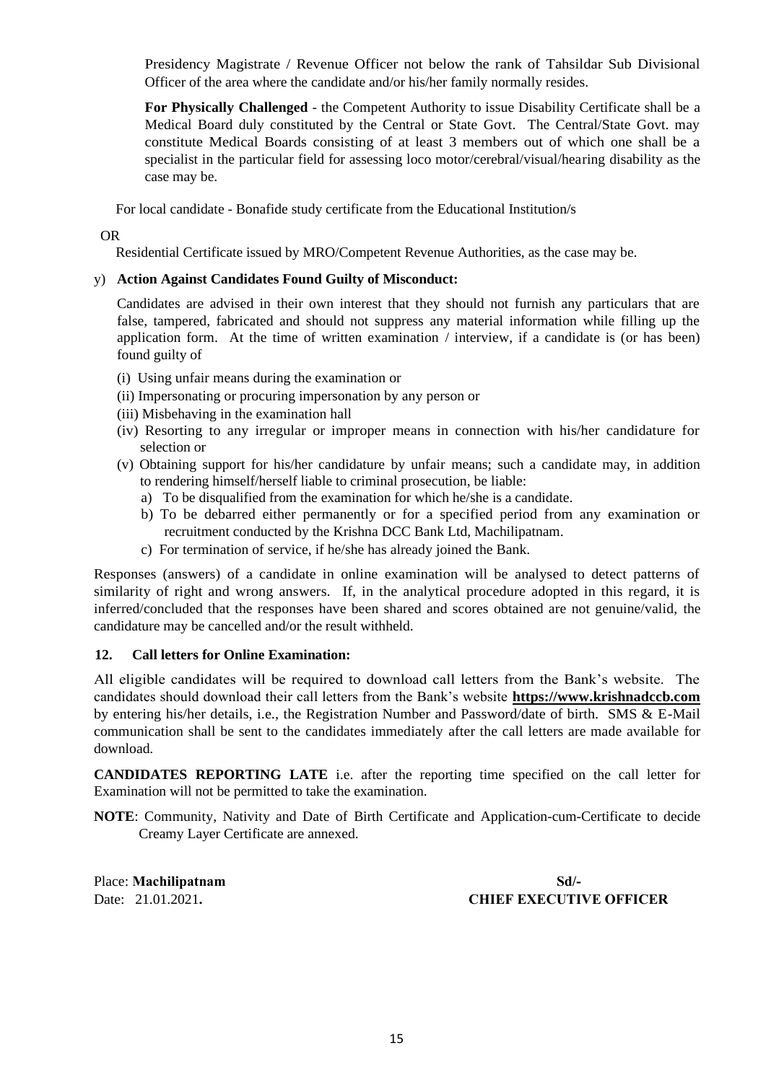Presidency Magistrate / Revenue Officer not below the rank of Tahsildar Sub Divisional Officer of the area where the candidate and/or his/her family normally resides.

**For Physically Challenged** - the Competent Authority to issue Disability Certificate shall be a Medical Board duly constituted by the Central or State Govt. The Central/State Govt. may constitute Medical Boards consisting of at least 3 members out of which one shall be a specialist in the particular field for assessing loco motor/cerebral/visual/hearing disability as the case may be.

For local candidate - Bonafide study certificate from the Educational Institution/s

OR

Residential Certificate issued by MRO/Competent Revenue Authorities, as the case may be.

#### y) **Action Against Candidates Found Guilty of Misconduct:**

Candidates are advised in their own interest that they should not furnish any particulars that are false, tampered, fabricated and should not suppress any material information while filling up the application form. At the time of written examination / interview, if a candidate is (or has been) found guilty of

- (i) Using unfair means during the examination or
- (ii) Impersonating or procuring impersonation by any person or
- (iii) Misbehaving in the examination hall
- (iv) Resorting to any irregular or improper means in connection with his/her candidature for selection or
- (v) Obtaining support for his/her candidature by unfair means; such a candidate may, in addition to rendering himself/herself liable to criminal prosecution, be liable:
	- a) To be disqualified from the examination for which he/she is a candidate.
	- b) To be debarred either permanently or for a specified period from any examination or recruitment conducted by the Krishna DCC Bank Ltd, Machilipatnam.
	- c) For termination of service, if he/she has already joined the Bank.

Responses (answers) of a candidate in online examination will be analysed to detect patterns of similarity of right and wrong answers. If, in the analytical procedure adopted in this regard, it is inferred/concluded that the responses have been shared and scores obtained are not genuine/valid, the candidature may be cancelled and/or the result withheld.

#### **12. Call letters for Online Examination:**

All eligible candidates will be required to download call letters from the Bank's website. The candidates should download their call letters from the Bank's website **https://www.krishnadccb.com** by entering his/her details, i.e., the Registration Number and Password/date of birth. SMS & E-Mail communication shall be sent to the candidates immediately after the call letters are made available for download.

**CANDIDATES REPORTING LATE** i.e. after the reporting time specified on the call letter for Examination will not be permitted to take the examination.

**NOTE**: Community, Nativity and Date of Birth Certificate and Application-cum-Certificate to decide Creamy Layer Certificate are annexed.

Place: **Machilipatnam Sd/-**

Date: 21.01.2021**. CHIEF EXECUTIVE OFFICER**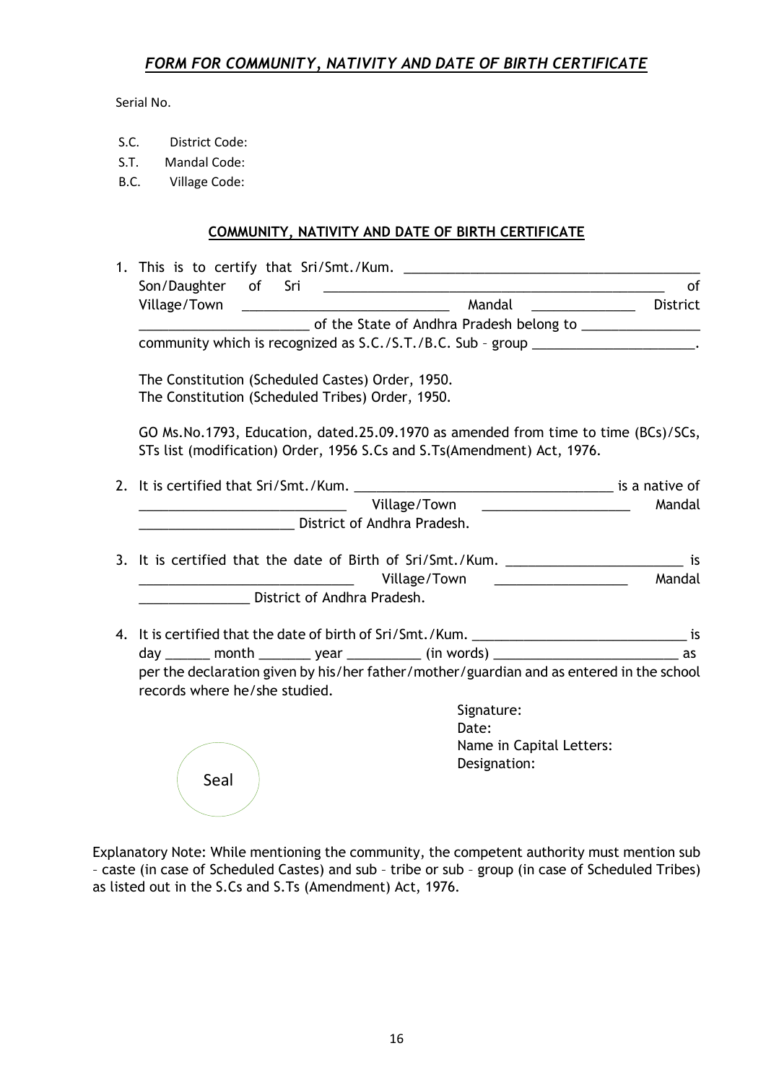# *FORM FOR COMMUNITY, NATIVITY AND DATE OF BIRTH CERTIFICATE*

Serial No.

- S.C. District Code:
- S.T. Mandal Code:
- B.C. Village Code:

## **COMMUNITY, NATIVITY AND DATE OF BIRTH CERTIFICATE**

| Son/Daughter of Sri                                                                                                                                           | <u> 1980 - Andrea Barbara, amerikan personal (h. 1980).</u> | οf       |
|---------------------------------------------------------------------------------------------------------------------------------------------------------------|-------------------------------------------------------------|----------|
|                                                                                                                                                               |                                                             | District |
| Department of the State of Andhra Pradesh belong to _____________________________                                                                             |                                                             |          |
| community which is recognized as S.C./S.T./B.C. Sub - group ____________________.                                                                             |                                                             |          |
| The Constitution (Scheduled Castes) Order, 1950.<br>The Constitution (Scheduled Tribes) Order, 1950.                                                          |                                                             |          |
| GO Ms.No.1793, Education, dated.25.09.1970 as amended from time to time (BCs)/SCs,<br>STs list (modification) Order, 1956 S.Cs and S.Ts(Amendment) Act, 1976. |                                                             |          |
|                                                                                                                                                               |                                                             |          |
| Village/Town                                                                                                                                                  | <u> 1989 - Johann Stein, fransk politik (d. 1989)</u>       | Mandal   |
| <b>District of Andhra Pradesh.</b>                                                                                                                            |                                                             |          |
|                                                                                                                                                               |                                                             |          |
| 3. It is certified that the date of Birth of Sri/Smt./Kum. ____________________________ is                                                                    |                                                             |          |
|                                                                                                                                                               | Village/Town Nillage/Town                                   | Mandal   |
| <b>Example 21 District of Andhra Pradesh.</b>                                                                                                                 |                                                             |          |
| 4. It is certified that the date of birth of Sri/Smt./Kum. ___________________________________ is                                                             |                                                             |          |
| day ______ month _______ year ________ (in words) ______________________________ as                                                                           |                                                             |          |
| per the declaration given by his/her father/mother/guardian and as entered in the school                                                                      |                                                             |          |
| records where he/she studied.                                                                                                                                 |                                                             |          |
|                                                                                                                                                               | Signature:                                                  |          |
|                                                                                                                                                               | Date:                                                       |          |
|                                                                                                                                                               | Name in Capital Letters:                                    |          |
| Seal                                                                                                                                                          | Designation:                                                |          |
|                                                                                                                                                               |                                                             |          |

Explanatory Note: While mentioning the community, the competent authority must mention sub – caste (in case of Scheduled Castes) and sub – tribe or sub – group (in case of Scheduled Tribes) as listed out in the S.Cs and S.Ts (Amendment) Act, 1976.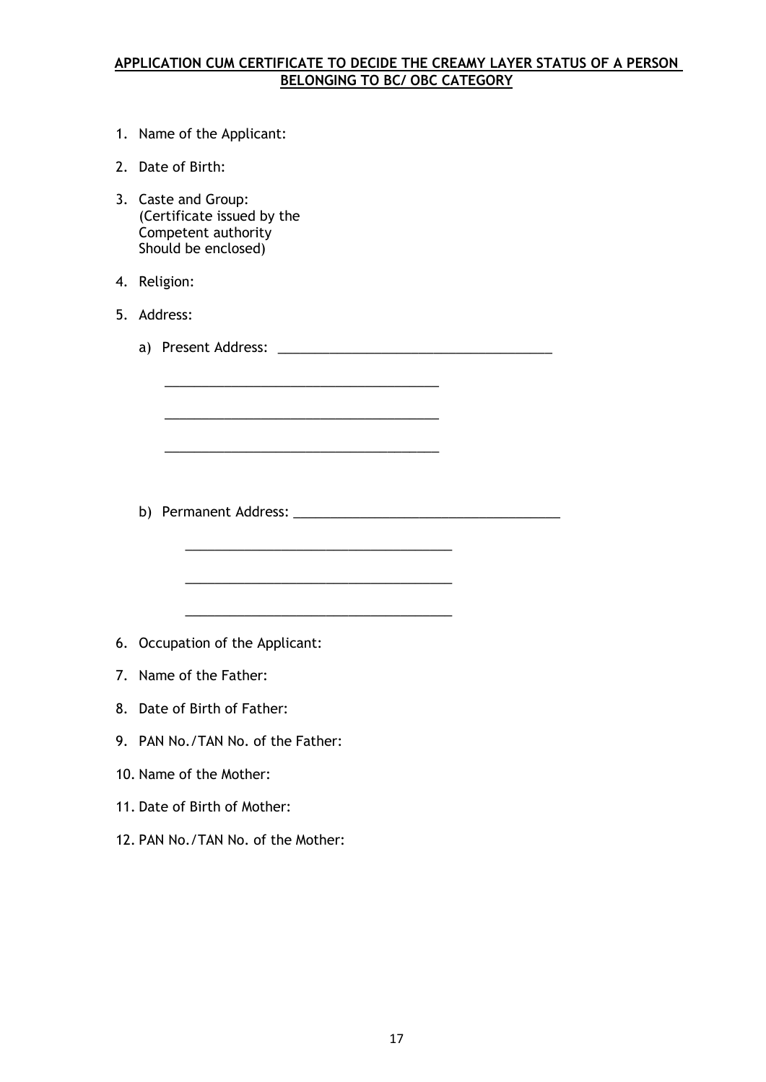# **APPLICATION CUM CERTIFICATE TO DECIDE THE CREAMY LAYER STATUS OF A PERSON BELONGING TO BC/ OBC CATEGORY**

- 1. Name of the Applicant:
- 2. Date of Birth:
- 3. Caste and Group: (Certificate issued by the Competent authority Should be enclosed)
- 4. Religion:
- 5. Address:
	- a) Present Address: \_\_\_\_\_\_\_\_\_\_\_\_\_\_\_\_\_\_\_\_\_\_\_\_\_\_\_\_\_\_\_\_\_\_\_\_\_

\_\_\_\_\_\_\_\_\_\_\_\_\_\_\_\_\_\_\_\_\_\_\_\_\_\_\_\_\_\_\_\_\_\_\_\_\_

\_\_\_\_\_\_\_\_\_\_\_\_\_\_\_\_\_\_\_\_\_\_\_\_\_\_\_\_\_\_\_\_\_\_\_\_\_

\_\_\_\_\_\_\_\_\_\_\_\_\_\_\_\_\_\_\_\_\_\_\_\_\_\_\_\_\_\_\_\_\_\_\_\_\_

\_\_\_\_\_\_\_\_\_\_\_\_\_\_\_\_\_\_\_\_\_\_\_\_\_\_\_\_\_\_\_\_\_\_\_\_

\_\_\_\_\_\_\_\_\_\_\_\_\_\_\_\_\_\_\_\_\_\_\_\_\_\_\_\_\_\_\_\_\_\_\_\_

\_\_\_\_\_\_\_\_\_\_\_\_\_\_\_\_\_\_\_\_\_\_\_\_\_\_\_\_\_\_\_\_\_\_\_\_

b) Permanent Address: \_\_\_\_\_\_\_\_\_\_\_\_\_\_\_\_\_\_\_\_\_\_\_\_\_\_\_\_\_\_\_\_\_\_\_\_

- 6. Occupation of the Applicant:
- 7. Name of the Father:
- 8. Date of Birth of Father:
- 9. PAN No./TAN No. of the Father:
- 10. Name of the Mother:
- 11. Date of Birth of Mother:
- 12. PAN No./TAN No. of the Mother: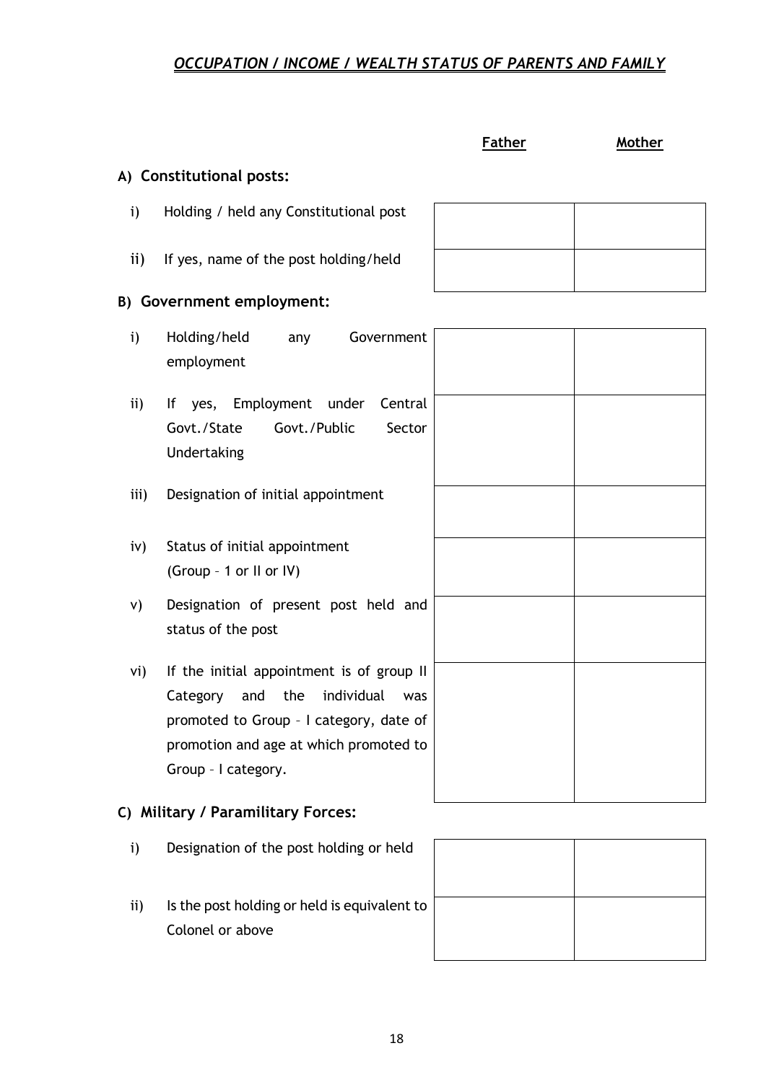# *OCCUPATION / INCOME / WEALTH STATUS OF PARENTS AND FAMILY*

## **Father Mother**

# **A) Constitutional posts:**

- i) Holding / held any Constitutional post
- ii) If yes, name of the post holding/held

## **B) Government employment:**

- i) Holding/held any Government employment
- ii) If yes, Employment under Central Govt./State Govt./Public Sector Undertaking
- iii) Designation of initial appointment
- iv) Status of initial appointment (Group – 1 or II or IV)
- v) Designation of present post held and status of the post
- vi) If the initial appointment is of group II Category and the individual was promoted to Group – I category, date of promotion and age at which promoted to Group – I category.

# **C) Military / Paramilitary Forces:**

- i) Designation of the post holding or held
- ii) Is the post holding or held is equivalent to Colonel or above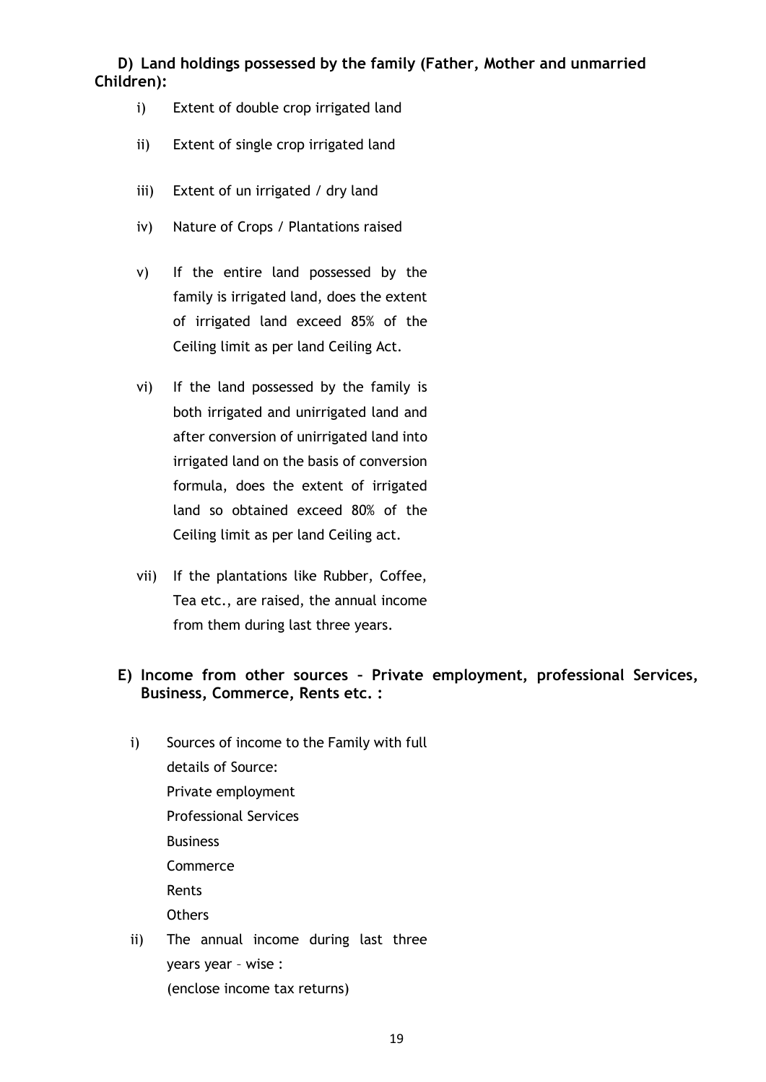# **D) Land holdings possessed by the family (Father, Mother and unmarried Children):**

- i) Extent of double crop irrigated land
- ii) Extent of single crop irrigated land
- iii) Extent of un irrigated / dry land
- iv) Nature of Crops / Plantations raised
- v) If the entire land possessed by the family is irrigated land, does the extent of irrigated land exceed 85% of the Ceiling limit as per land Ceiling Act.
- vi) If the land possessed by the family is both irrigated and unirrigated land and after conversion of unirrigated land into irrigated land on the basis of conversion formula, does the extent of irrigated land so obtained exceed 80% of the Ceiling limit as per land Ceiling act.
- vii) If the plantations like Rubber, Coffee, Tea etc., are raised, the annual income from them during last three years.

# **E) Income from other sources – Private employment, professional Services, Business, Commerce, Rents etc. :**

- i) Sources of income to the Family with full details of Source: Private employment Professional Services **Business** Commerce Rents **Others** ii) The annual income during last three
	- years year wise : (enclose income tax returns)